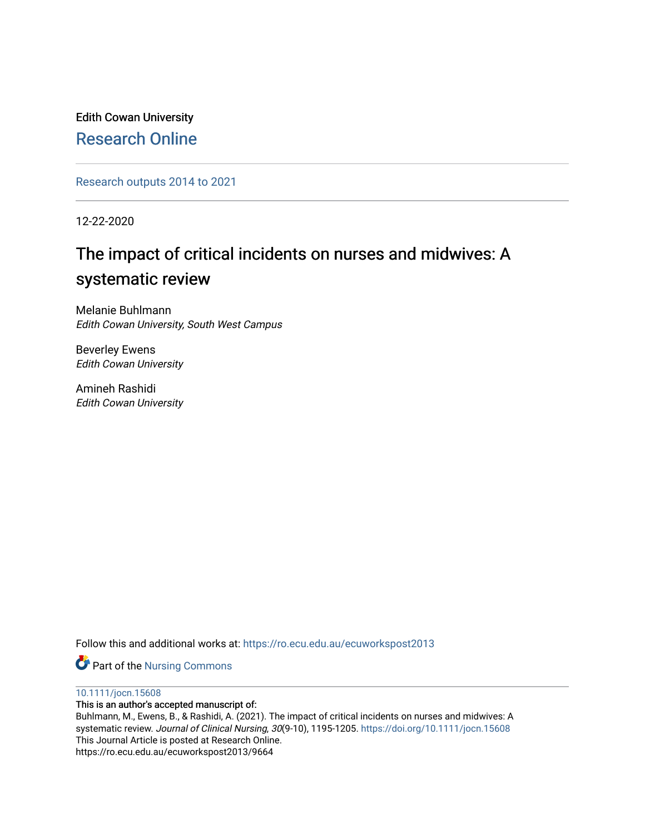Edith Cowan University [Research Online](https://ro.ecu.edu.au/) 

[Research outputs 2014 to 2021](https://ro.ecu.edu.au/ecuworkspost2013) 

12-22-2020

# The impact of critical incidents on nurses and midwives: A systematic review

Melanie Buhlmann Edith Cowan University, South West Campus

Beverley Ewens Edith Cowan University

Amineh Rashidi Edith Cowan University

Follow this and additional works at: [https://ro.ecu.edu.au/ecuworkspost2013](https://ro.ecu.edu.au/ecuworkspost2013?utm_source=ro.ecu.edu.au%2Fecuworkspost2013%2F9664&utm_medium=PDF&utm_campaign=PDFCoverPages) 

Part of the [Nursing Commons](https://network.bepress.com/hgg/discipline/718?utm_source=ro.ecu.edu.au%2Fecuworkspost2013%2F9664&utm_medium=PDF&utm_campaign=PDFCoverPages) 

[10.1111/jocn.15608](http://dx.doi.org/10.1111/jocn.15608) 

This is an author's accepted manuscript of:

Buhlmann, M., Ewens, B., & Rashidi, A. (2021). The impact of critical incidents on nurses and midwives: A systematic review. Journal of Clinical Nursing, 30(9-10), 1195-1205. <https://doi.org/10.1111/jocn.15608> This Journal Article is posted at Research Online. https://ro.ecu.edu.au/ecuworkspost2013/9664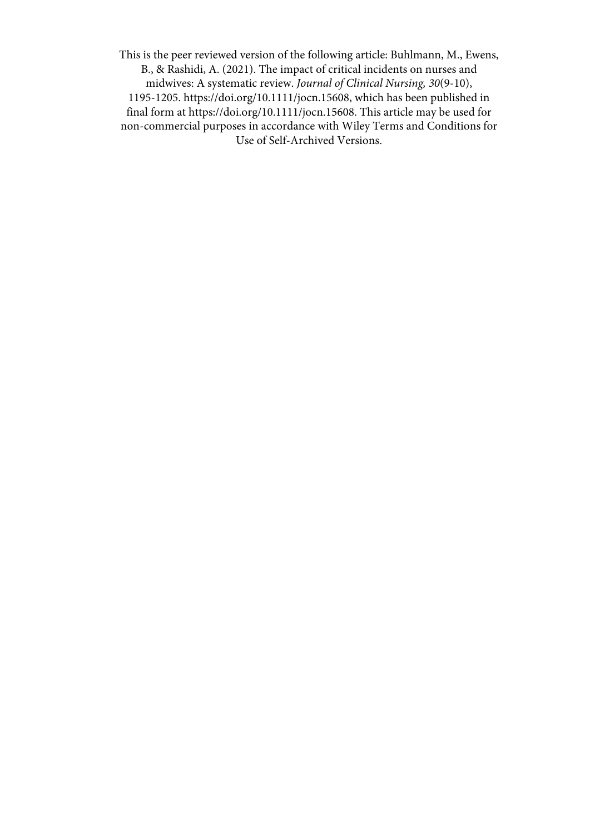This is the peer reviewed version of the following article: Buhlmann, M., Ewens, B., & Rashidi, A. (2021). The impact of critical incidents on nurses and midwives: A systematic review. *Journal of Clinical Nursing, 30*(9-10), 1195-1205. [https://doi.org/10.1111/jocn.15608, w](https://doi.org/10.1111/jocn.15608)hich has been published in final form at https://doi.org/10.1111/jocn.15608. This article may be used for non-commercial purposes in accordance with Wiley Terms and Conditions for Use of Self-Archived Versions.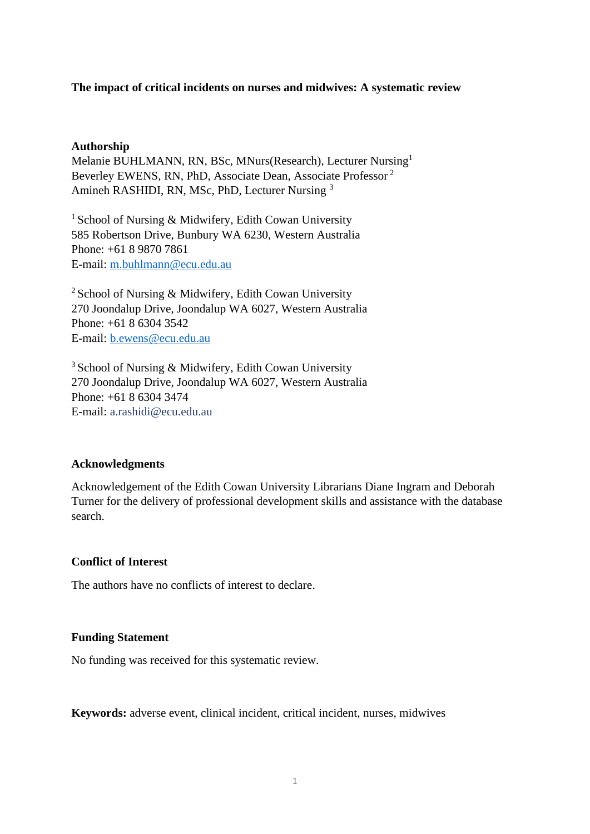## **The impact of critical incidents on nurses and midwives: A systematic review**

## **Authorship**

Melanie BUHLMANN, RN, BSc, MNurs(Research), Lecturer Nursing<sup>1</sup> Beverley EWENS, RN, PhD, Associate Dean, Associate Professor <sup>2</sup> Amineh RASHIDI, RN, MSc, PhD, Lecturer Nursing <sup>3</sup>

<sup>1</sup> School of Nursing & Midwifery, Edith Cowan University 585 Robertson Drive, Bunbury WA 6230, Western Australia Phone: +61 8 9870 7861 E-mail: [m.buhlmann@ecu.edu.au](mailto:m.buhlmann@ecu.edu.au)

<sup>2</sup> School of Nursing & Midwifery, Edith Cowan University 270 Joondalup Drive, Joondalup WA 6027, Western Australia Phone: +61 8 6304 3542 E-mail: [b.ewens@ecu.edu.au](mailto:b.ewens@ecu.edu.au)

<sup>3</sup> School of Nursing & Midwifery, Edith Cowan University 270 Joondalup Drive, Joondalup WA 6027, Western Australia Phone: +61 8 6304 3474 E-mail: [a.rashidi@ecu.edu.au](mailto:a.rashidi@ecu.edu.au)

## **Acknowledgments**

Acknowledgement of the Edith Cowan University Librarians Diane Ingram and Deborah Turner for the delivery of professional development skills and assistance with the database search.

## **Conflict of Interest**

The authors have no conflicts of interest to declare.

## **Funding Statement**

No funding was received for this systematic review.

**Keywords:** adverse event, clinical incident, critical incident, nurses, midwives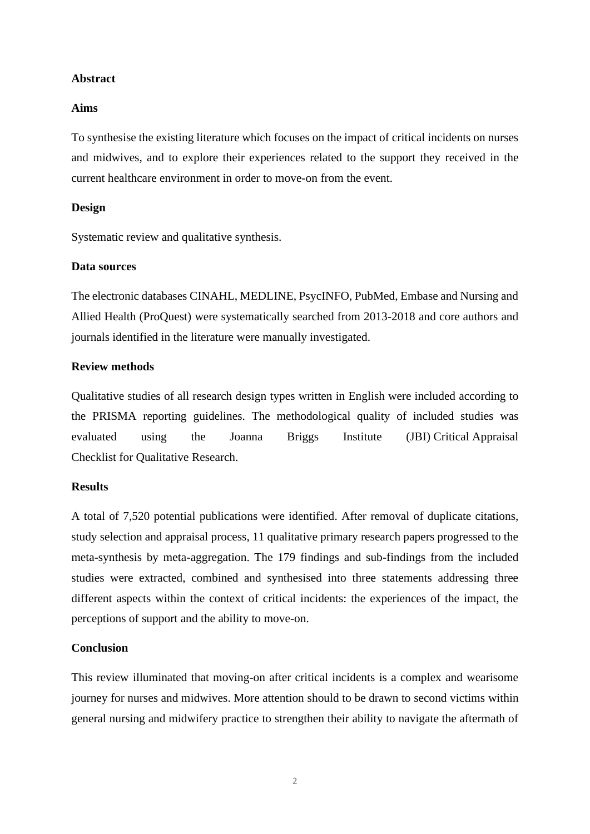## **Abstract**

## **Aims**

To synthesise the existing literature which focuses on the impact of critical incidents on nurses and midwives, and to explore their experiences related to the support they received in the current healthcare environment in order to move-on from the event.

#### **Design**

Systematic review and qualitative synthesis.

#### **Data sources**

The electronic databases CINAHL, MEDLINE, PsycINFO, PubMed, Embase and Nursing and Allied Health (ProQuest) were systematically searched from 2013-2018 and core authors and journals identified in the literature were manually investigated.

## **Review methods**

Qualitative studies of all research design types written in English were included according to the PRISMA reporting guidelines. The methodological quality of included studies was evaluated using the Joanna Briggs Institute (JBI) Critical Appraisal Checklist for Qualitative Research.

#### **Results**

A total of 7,520 potential publications were identified. After removal of duplicate citations, study selection and appraisal process, 11 qualitative primary research papers progressed to the meta-synthesis by meta-aggregation. The 179 findings and sub-findings from the included studies were extracted, combined and synthesised into three statements addressing three different aspects within the context of critical incidents: the experiences of the impact, the perceptions of support and the ability to move-on.

## **Conclusion**

This review illuminated that moving-on after critical incidents is a complex and wearisome journey for nurses and midwives. More attention should to be drawn to second victims within general nursing and midwifery practice to strengthen their ability to navigate the aftermath of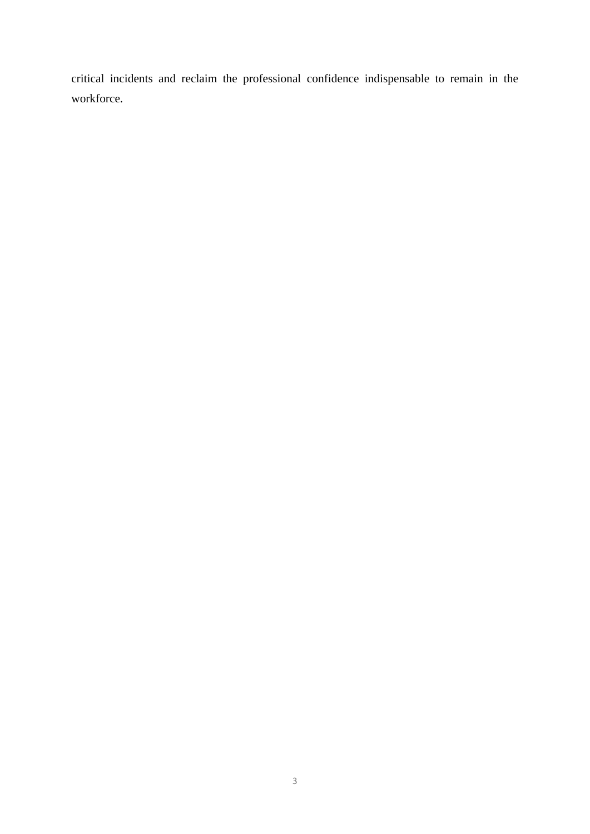critical incidents and reclaim the professional confidence indispensable to remain in the workforce.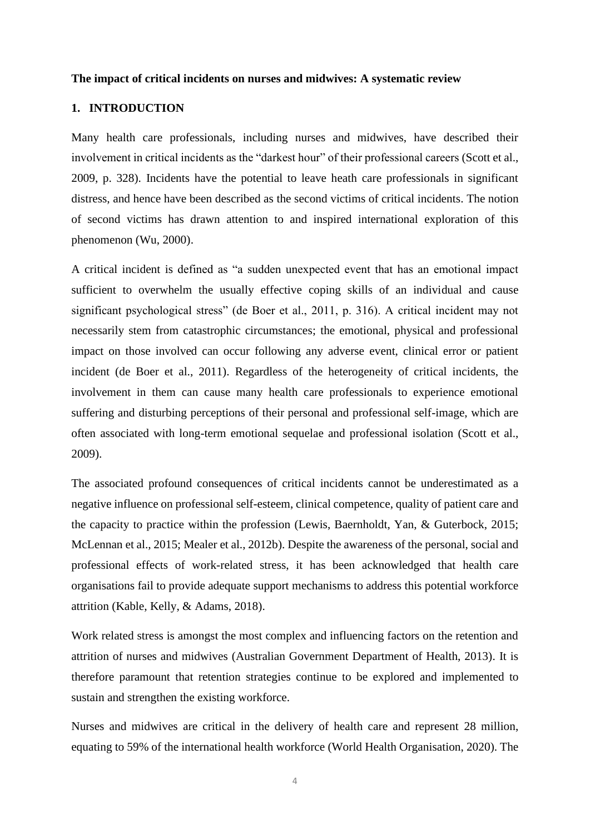#### **The impact of critical incidents on nurses and midwives: A systematic review**

## **1. INTRODUCTION**

Many health care professionals, including nurses and midwives, have described their involvement in critical incidents as the "darkest hour" of their professional careers (Scott et al., 2009, p. 328). Incidents have the potential to leave heath care professionals in significant distress, and hence have been described as the second victims of critical incidents. The notion of second victims has drawn attention to and inspired international exploration of this phenomenon (Wu, 2000).

A critical incident is defined as "a sudden unexpected event that has an emotional impact sufficient to overwhelm the usually effective coping skills of an individual and cause significant psychological stress" (de Boer et al., 2011, p. 316). A critical incident may not necessarily stem from catastrophic circumstances; the emotional, physical and professional impact on those involved can occur following any adverse event, clinical error or patient incident (de Boer et al., 2011). Regardless of the heterogeneity of critical incidents, the involvement in them can cause many health care professionals to experience emotional suffering and disturbing perceptions of their personal and professional self-image, which are often associated with long-term emotional sequelae and professional isolation (Scott et al., 2009).

The associated profound consequences of critical incidents cannot be underestimated as a negative influence on professional self-esteem, clinical competence, quality of patient care and the capacity to practice within the profession (Lewis, Baernholdt, Yan, & Guterbock, 2015; McLennan et al., 2015; Mealer et al., 2012b). Despite the awareness of the personal, social and professional effects of work-related stress, it has been acknowledged that health care organisations fail to provide adequate support mechanisms to address this potential workforce attrition (Kable, Kelly, & Adams, 2018).

Work related stress is amongst the most complex and influencing factors on the retention and attrition of nurses and midwives (Australian Government Department of Health, 2013). It is therefore paramount that retention strategies continue to be explored and implemented to sustain and strengthen the existing workforce.

Nurses and midwives are critical in the delivery of health care and represent 28 million, equating to 59% of the international health workforce (World Health Organisation, 2020). The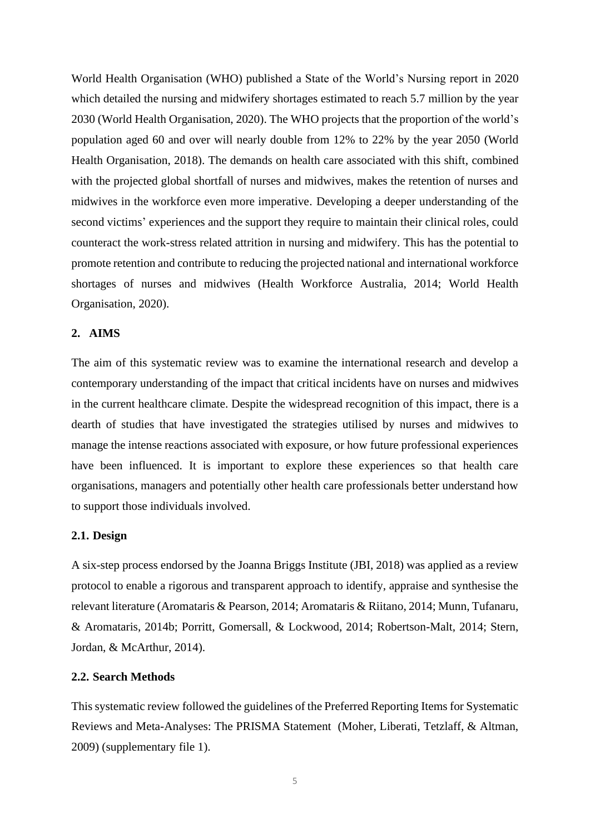World Health Organisation (WHO) published a State of the World's Nursing report in 2020 which detailed the nursing and midwifery shortages estimated to reach 5.7 million by the year 2030 (World Health Organisation, 2020). The WHO projects that the proportion of the world's population aged 60 and over will nearly double from 12% to 22% by the year 2050 (World Health Organisation, 2018). The demands on health care associated with this shift, combined with the projected global shortfall of nurses and midwives, makes the retention of nurses and midwives in the workforce even more imperative. Developing a deeper understanding of the second victims' experiences and the support they require to maintain their clinical roles, could counteract the work-stress related attrition in nursing and midwifery. This has the potential to promote retention and contribute to reducing the projected national and international workforce shortages of nurses and midwives (Health Workforce Australia, 2014; World Health Organisation, 2020).

## **2. AIMS**

The aim of this systematic review was to examine the international research and develop a contemporary understanding of the impact that critical incidents have on nurses and midwives in the current healthcare climate. Despite the widespread recognition of this impact, there is a dearth of studies that have investigated the strategies utilised by nurses and midwives to manage the intense reactions associated with exposure, or how future professional experiences have been influenced. It is important to explore these experiences so that health care organisations, managers and potentially other health care professionals better understand how to support those individuals involved.

#### **2.1. Design**

A six-step process endorsed by the Joanna Briggs Institute (JBI, 2018) was applied as a review protocol to enable a rigorous and transparent approach to identify, appraise and synthesise the relevant literature (Aromataris & Pearson, 2014; Aromataris & Riitano, 2014; Munn, Tufanaru, & Aromataris, 2014b; Porritt, Gomersall, & Lockwood, 2014; Robertson-Malt, 2014; Stern, Jordan, & McArthur, 2014).

#### **2.2. Search Methods**

This systematic review followed the guidelines of the Preferred Reporting Items for Systematic Reviews and Meta-Analyses: The PRISMA Statement (Moher, Liberati, Tetzlaff, & Altman, 2009) (supplementary file 1).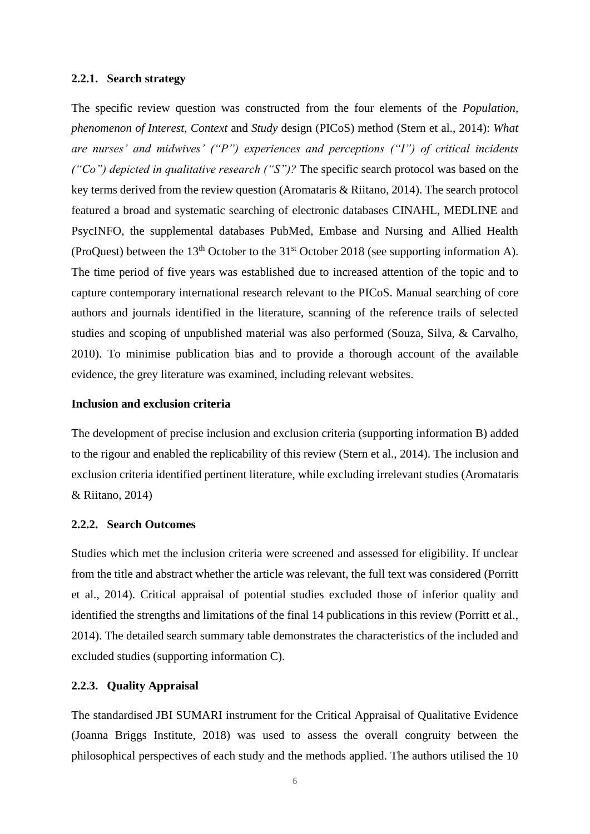#### **2.2.1. Search strategy**

The specific review question was constructed from the four elements of the *Population, phenomenon of Interest, Context* and *Study* design (PICoS) method (Stern et al., 2014): *What are nurses' and midwives' ("P") experiences and perceptions ("I") of critical incidents ("Co") depicted in qualitative research ("S")?* The specific search protocol was based on the key terms derived from the review question (Aromataris & Riitano, 2014). The search protocol featured a broad and systematic searching of electronic databases CINAHL, MEDLINE and PsycINFO, the supplemental databases PubMed, Embase and Nursing and Allied Health (ProQuest) between the 13<sup>th</sup> October to the 31<sup>st</sup> October 2018 (see supporting information A). The time period of five years was established due to increased attention of the topic and to capture contemporary international research relevant to the PICoS. Manual searching of core authors and journals identified in the literature, scanning of the reference trails of selected studies and scoping of unpublished material was also performed (Souza, Silva, & Carvalho, 2010). To minimise publication bias and to provide a thorough account of the available evidence, the grey literature was examined, including relevant websites.

#### **Inclusion and exclusion criteria**

The development of precise inclusion and exclusion criteria (supporting information B) added to the rigour and enabled the replicability of this review (Stern et al., 2014). The inclusion and exclusion criteria identified pertinent literature, while excluding irrelevant studies (Aromataris & Riitano, 2014)

#### **2.2.2. Search Outcomes**

Studies which met the inclusion criteria were screened and assessed for eligibility. If unclear from the title and abstract whether the article was relevant, the full text was considered (Porritt et al., 2014). Critical appraisal of potential studies excluded those of inferior quality and identified the strengths and limitations of the final 14 publications in this review (Porritt et al., 2014). The detailed search summary table demonstrates the characteristics of the included and excluded studies (supporting information C).

## **2.2.3. Quality Appraisal**

The standardised JBI SUMARI instrument for the Critical Appraisal of Qualitative Evidence (Joanna Briggs Institute, 2018) was used to assess the overall congruity between the philosophical perspectives of each study and the methods applied. The authors utilised the 10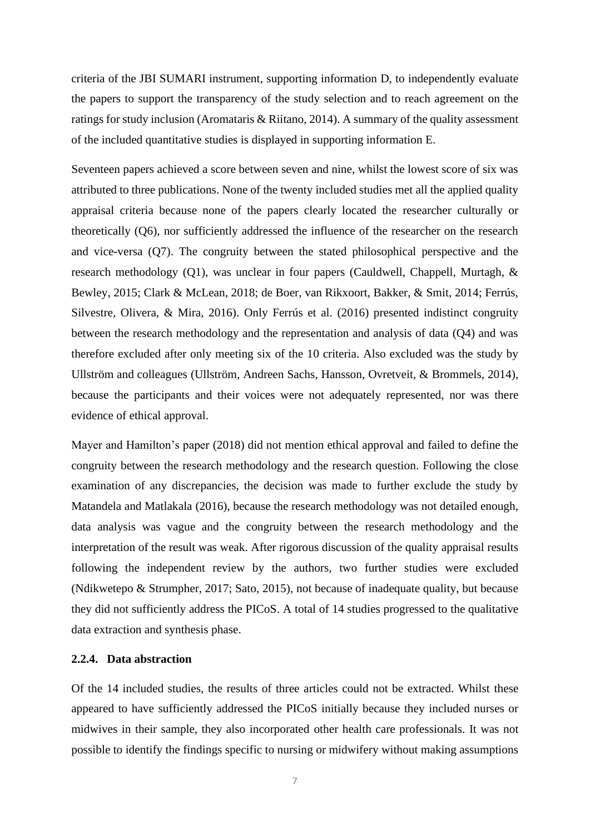criteria of the JBI SUMARI instrument, supporting information D, to independently evaluate the papers to support the transparency of the study selection and to reach agreement on the ratings for study inclusion (Aromataris & Riitano, 2014). A summary of the quality assessment of the included quantitative studies is displayed in supporting information E.

Seventeen papers achieved a score between seven and nine, whilst the lowest score of six was attributed to three publications. None of the twenty included studies met all the applied quality appraisal criteria because none of the papers clearly located the researcher culturally or theoretically (Q6), nor sufficiently addressed the influence of the researcher on the research and vice-versa (Q7). The congruity between the stated philosophical perspective and the research methodology (Q1), was unclear in four papers (Cauldwell, Chappell, Murtagh, & Bewley, 2015; Clark & McLean, 2018; de Boer, van Rikxoort, Bakker, & Smit, 2014; Ferrús, Silvestre, Olivera, & Mira, 2016). Only Ferrús et al. (2016) presented indistinct congruity between the research methodology and the representation and analysis of data (Q4) and was therefore excluded after only meeting six of the 10 criteria. Also excluded was the study by Ullström and colleagues (Ullström, Andreen Sachs, Hansson, Ovretveit, & Brommels, 2014), because the participants and their voices were not adequately represented, nor was there evidence of ethical approval.

Mayer and Hamilton's paper (2018) did not mention ethical approval and failed to define the congruity between the research methodology and the research question. Following the close examination of any discrepancies, the decision was made to further exclude the study by Matandela and Matlakala (2016), because the research methodology was not detailed enough, data analysis was vague and the congruity between the research methodology and the interpretation of the result was weak. After rigorous discussion of the quality appraisal results following the independent review by the authors, two further studies were excluded (Ndikwetepo & Strumpher, 2017; Sato, 2015), not because of inadequate quality, but because they did not sufficiently address the PICoS. A total of 14 studies progressed to the qualitative data extraction and synthesis phase.

## **2.2.4. Data abstraction**

Of the 14 included studies, the results of three articles could not be extracted. Whilst these appeared to have sufficiently addressed the PICoS initially because they included nurses or midwives in their sample, they also incorporated other health care professionals. It was not possible to identify the findings specific to nursing or midwifery without making assumptions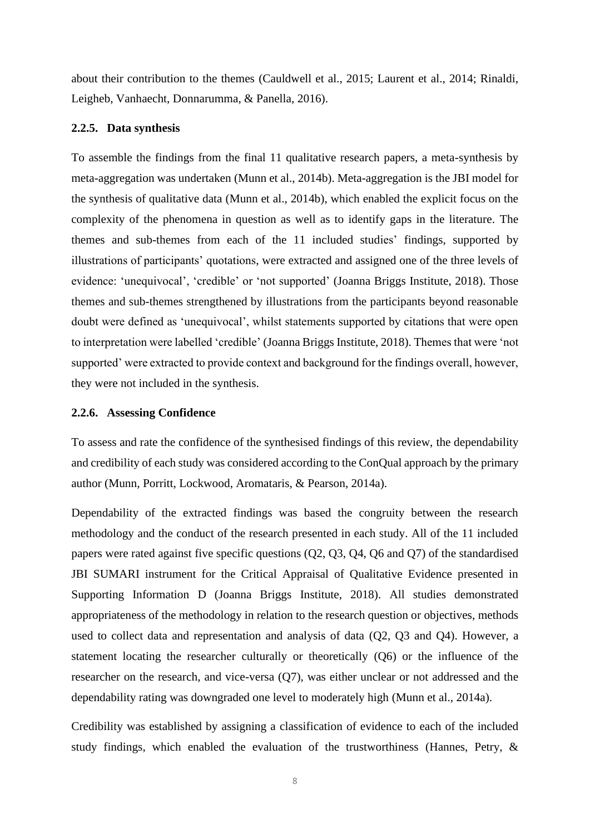about their contribution to the themes (Cauldwell et al., 2015; Laurent et al., 2014; Rinaldi, Leigheb, Vanhaecht, Donnarumma, & Panella, 2016).

#### **2.2.5. Data synthesis**

To assemble the findings from the final 11 qualitative research papers, a meta-synthesis by meta-aggregation was undertaken (Munn et al., 2014b). Meta-aggregation is the JBI model for the synthesis of qualitative data (Munn et al., 2014b), which enabled the explicit focus on the complexity of the phenomena in question as well as to identify gaps in the literature. The themes and sub-themes from each of the 11 included studies' findings, supported by illustrations of participants' quotations, were extracted and assigned one of the three levels of evidence: 'unequivocal', 'credible' or 'not supported' (Joanna Briggs Institute, 2018). Those themes and sub-themes strengthened by illustrations from the participants beyond reasonable doubt were defined as 'unequivocal', whilst statements supported by citations that were open to interpretation were labelled 'credible' (Joanna Briggs Institute, 2018). Themes that were 'not supported' were extracted to provide context and background for the findings overall, however, they were not included in the synthesis.

#### **2.2.6. Assessing Confidence**

To assess and rate the confidence of the synthesised findings of this review, the dependability and credibility of each study was considered according to the ConQual approach by the primary author (Munn, Porritt, Lockwood, Aromataris, & Pearson, 2014a).

Dependability of the extracted findings was based the congruity between the research methodology and the conduct of the research presented in each study. All of the 11 included papers were rated against five specific questions (Q2, Q3, Q4, Q6 and Q7) of the standardised JBI SUMARI instrument for the Critical Appraisal of Qualitative Evidence presented in Supporting Information D (Joanna Briggs Institute, 2018). All studies demonstrated appropriateness of the methodology in relation to the research question or objectives, methods used to collect data and representation and analysis of data (Q2, Q3 and Q4). However, a statement locating the researcher culturally or theoretically (Q6) or the influence of the researcher on the research, and vice-versa (Q7), was either unclear or not addressed and the dependability rating was downgraded one level to moderately high (Munn et al., 2014a).

Credibility was established by assigning a classification of evidence to each of the included study findings, which enabled the evaluation of the trustworthiness (Hannes, Petry, &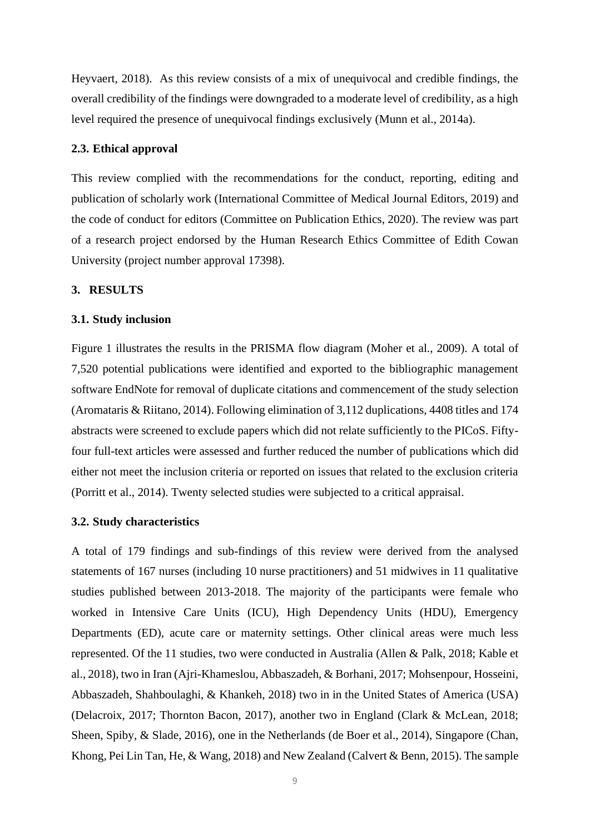Heyvaert, 2018). As this review consists of a mix of unequivocal and credible findings, the overall credibility of the findings were downgraded to a moderate level of credibility, as a high level required the presence of unequivocal findings exclusively (Munn et al., 2014a).

#### **2.3. Ethical approval**

This review complied with the recommendations for the conduct, reporting, editing and publication of scholarly work (International Committee of Medical Journal Editors, 2019) and the code of conduct for editors (Committee on Publication Ethics, 2020). The review was part of a research project endorsed by the Human Research Ethics Committee of Edith Cowan University (project number approval 17398).

#### **3. RESULTS**

#### **3.1. Study inclusion**

Figure 1 illustrates the results in the PRISMA flow diagram (Moher et al., 2009). A total of 7,520 potential publications were identified and exported to the bibliographic management software EndNote for removal of duplicate citations and commencement of the study selection (Aromataris & Riitano, 2014). Following elimination of 3,112 duplications, 4408 titles and 174 abstracts were screened to exclude papers which did not relate sufficiently to the PICoS. Fiftyfour full-text articles were assessed and further reduced the number of publications which did either not meet the inclusion criteria or reported on issues that related to the exclusion criteria (Porritt et al., 2014). Twenty selected studies were subjected to a critical appraisal.

#### **3.2. Study characteristics**

A total of 179 findings and sub-findings of this review were derived from the analysed statements of 167 nurses (including 10 nurse practitioners) and 51 midwives in 11 qualitative studies published between 2013-2018. The majority of the participants were female who worked in Intensive Care Units (ICU), High Dependency Units (HDU), Emergency Departments (ED), acute care or maternity settings. Other clinical areas were much less represented. Of the 11 studies, two were conducted in Australia (Allen & Palk, 2018; Kable et al., 2018), two in Iran (Ajri-Khameslou, Abbaszadeh, & Borhani, 2017; Mohsenpour, Hosseini, Abbaszadeh, Shahboulaghi, & Khankeh, 2018) two in in the United States of America (USA) (Delacroix, 2017; Thornton Bacon, 2017), another two in England (Clark & McLean, 2018; Sheen, Spiby, & Slade, 2016), one in the Netherlands (de Boer et al., 2014), Singapore (Chan, Khong, Pei Lin Tan, He, & Wang, 2018) and New Zealand (Calvert & Benn, 2015). The sample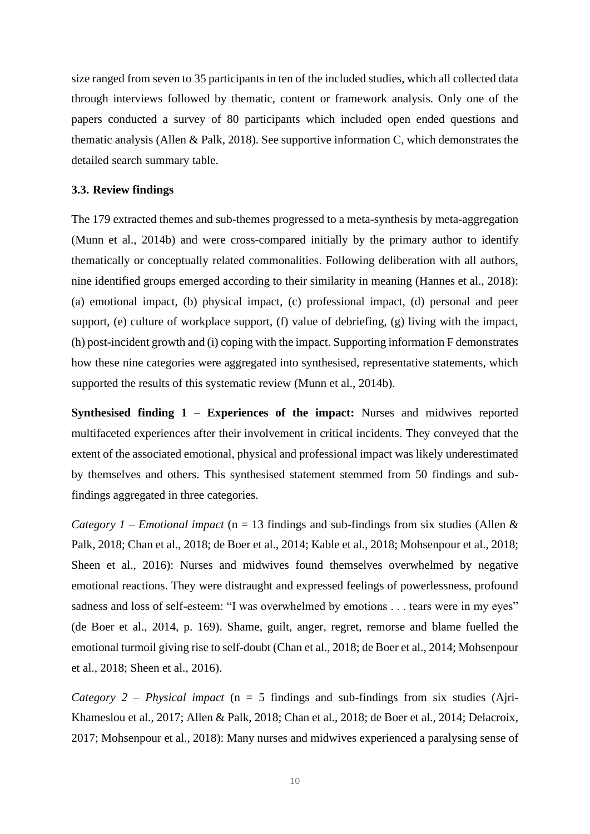size ranged from seven to 35 participants in ten of the included studies, which all collected data through interviews followed by thematic, content or framework analysis. Only one of the papers conducted a survey of 80 participants which included open ended questions and thematic analysis (Allen & Palk, 2018). See supportive information C, which demonstrates the detailed search summary table.

## **3.3. Review findings**

The 179 extracted themes and sub-themes progressed to a meta-synthesis by meta-aggregation (Munn et al., 2014b) and were cross-compared initially by the primary author to identify thematically or conceptually related commonalities. Following deliberation with all authors, nine identified groups emerged according to their similarity in meaning (Hannes et al., 2018): (a) emotional impact, (b) physical impact, (c) professional impact, (d) personal and peer support, (e) culture of workplace support, (f) value of debriefing, (g) living with the impact, (h) post-incident growth and (i) coping with the impact. Supporting information F demonstrates how these nine categories were aggregated into synthesised, representative statements, which supported the results of this systematic review (Munn et al., 2014b).

**Synthesised finding 1 – Experiences of the impact:** Nurses and midwives reported multifaceted experiences after their involvement in critical incidents. They conveyed that the extent of the associated emotional, physical and professional impact was likely underestimated by themselves and others. This synthesised statement stemmed from 50 findings and subfindings aggregated in three categories.

*Category 1 – Emotional impact* (n = 13 findings and sub-findings from six studies (Allen & Palk, 2018; Chan et al., 2018; de Boer et al., 2014; Kable et al., 2018; Mohsenpour et al., 2018; Sheen et al., 2016): Nurses and midwives found themselves overwhelmed by negative emotional reactions. They were distraught and expressed feelings of powerlessness, profound sadness and loss of self-esteem: "I was overwhelmed by emotions . . . tears were in my eyes" (de Boer et al., 2014, p. 169). Shame, guilt, anger, regret, remorse and blame fuelled the emotional turmoil giving rise to self-doubt (Chan et al., 2018; de Boer et al., 2014; Mohsenpour et al., 2018; Sheen et al., 2016).

*Category 2 – Physical impact* (n = 5 findings and sub-findings from six studies (Ajri-Khameslou et al., 2017; Allen & Palk, 2018; Chan et al., 2018; de Boer et al., 2014; Delacroix, 2017; Mohsenpour et al., 2018): Many nurses and midwives experienced a paralysing sense of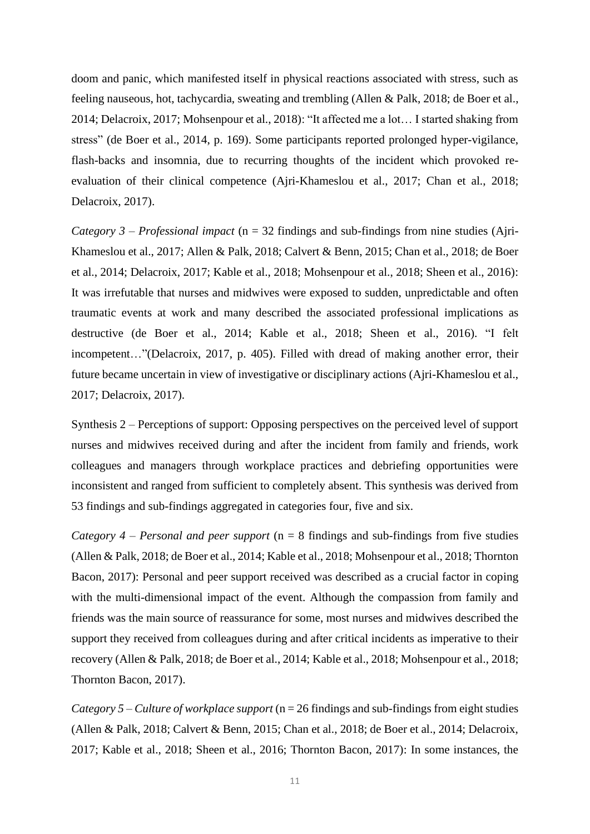doom and panic, which manifested itself in physical reactions associated with stress, such as feeling nauseous, hot, tachycardia, sweating and trembling (Allen & Palk, 2018; de Boer et al., 2014; Delacroix, 2017; Mohsenpour et al., 2018): "It affected me a lot… I started shaking from stress" (de Boer et al., 2014, p. 169). Some participants reported prolonged hyper-vigilance, flash-backs and insomnia, due to recurring thoughts of the incident which provoked reevaluation of their clinical competence (Ajri-Khameslou et al., 2017; Chan et al., 2018; Delacroix, 2017).

*Category 3 – Professional impact* (n = 32 findings and sub-findings from nine studies (Ajri-Khameslou et al., 2017; Allen & Palk, 2018; Calvert & Benn, 2015; Chan et al., 2018; de Boer et al., 2014; Delacroix, 2017; Kable et al., 2018; Mohsenpour et al., 2018; Sheen et al., 2016): It was irrefutable that nurses and midwives were exposed to sudden, unpredictable and often traumatic events at work and many described the associated professional implications as destructive (de Boer et al., 2014; Kable et al., 2018; Sheen et al., 2016). "I felt incompetent…"(Delacroix, 2017, p. 405). Filled with dread of making another error, their future became uncertain in view of investigative or disciplinary actions (Ajri-Khameslou et al., 2017; Delacroix, 2017).

Synthesis 2 – Perceptions of support: Opposing perspectives on the perceived level of support nurses and midwives received during and after the incident from family and friends, work colleagues and managers through workplace practices and debriefing opportunities were inconsistent and ranged from sufficient to completely absent. This synthesis was derived from 53 findings and sub-findings aggregated in categories four, five and six.

*Category 4 – Personal and peer support* (n = 8 findings and sub-findings from five studies (Allen & Palk, 2018; de Boer et al., 2014; Kable et al., 2018; Mohsenpour et al., 2018; Thornton Bacon, 2017): Personal and peer support received was described as a crucial factor in coping with the multi-dimensional impact of the event. Although the compassion from family and friends was the main source of reassurance for some, most nurses and midwives described the support they received from colleagues during and after critical incidents as imperative to their recovery (Allen & Palk, 2018; de Boer et al., 2014; Kable et al., 2018; Mohsenpour et al., 2018; Thornton Bacon, 2017).

*Category 5 – Culture of workplace support* (n = 26 findings and sub-findings from eight studies (Allen & Palk, 2018; Calvert & Benn, 2015; Chan et al., 2018; de Boer et al., 2014; Delacroix, 2017; Kable et al., 2018; Sheen et al., 2016; Thornton Bacon, 2017): In some instances, the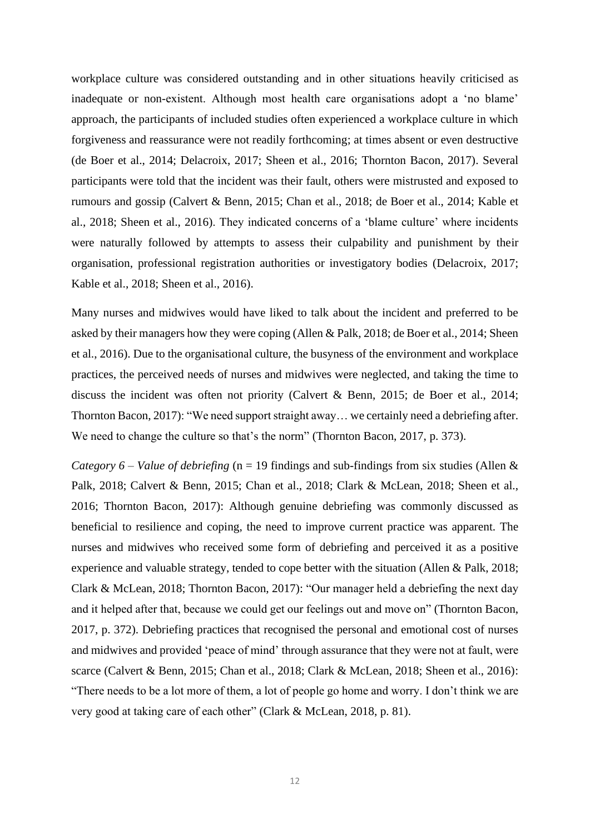workplace culture was considered outstanding and in other situations heavily criticised as inadequate or non-existent. Although most health care organisations adopt a 'no blame' approach, the participants of included studies often experienced a workplace culture in which forgiveness and reassurance were not readily forthcoming; at times absent or even destructive (de Boer et al., 2014; Delacroix, 2017; Sheen et al., 2016; Thornton Bacon, 2017). Several participants were told that the incident was their fault, others were mistrusted and exposed to rumours and gossip (Calvert & Benn, 2015; Chan et al., 2018; de Boer et al., 2014; Kable et al., 2018; Sheen et al., 2016). They indicated concerns of a 'blame culture' where incidents were naturally followed by attempts to assess their culpability and punishment by their organisation, professional registration authorities or investigatory bodies (Delacroix, 2017; Kable et al., 2018; Sheen et al., 2016).

Many nurses and midwives would have liked to talk about the incident and preferred to be asked by their managers how they were coping (Allen & Palk, 2018; de Boer et al., 2014; Sheen et al., 2016). Due to the organisational culture, the busyness of the environment and workplace practices, the perceived needs of nurses and midwives were neglected, and taking the time to discuss the incident was often not priority (Calvert & Benn, 2015; de Boer et al., 2014; Thornton Bacon, 2017): "We need support straight away… we certainly need a debriefing after. We need to change the culture so that's the norm" (Thornton Bacon, 2017, p. 373).

*Category 6 – Value of debriefing* (n = 19 findings and sub-findings from six studies (Allen & Palk, 2018; Calvert & Benn, 2015; Chan et al., 2018; Clark & McLean, 2018; Sheen et al., 2016; Thornton Bacon, 2017): Although genuine debriefing was commonly discussed as beneficial to resilience and coping, the need to improve current practice was apparent. The nurses and midwives who received some form of debriefing and perceived it as a positive experience and valuable strategy, tended to cope better with the situation (Allen & Palk, 2018; Clark & McLean, 2018; Thornton Bacon, 2017): "Our manager held a debriefing the next day and it helped after that, because we could get our feelings out and move on" (Thornton Bacon, 2017, p. 372). Debriefing practices that recognised the personal and emotional cost of nurses and midwives and provided 'peace of mind' through assurance that they were not at fault, were scarce (Calvert & Benn, 2015; Chan et al., 2018; Clark & McLean, 2018; Sheen et al., 2016): "There needs to be a lot more of them, a lot of people go home and worry. I don't think we are very good at taking care of each other" (Clark & McLean, 2018, p. 81).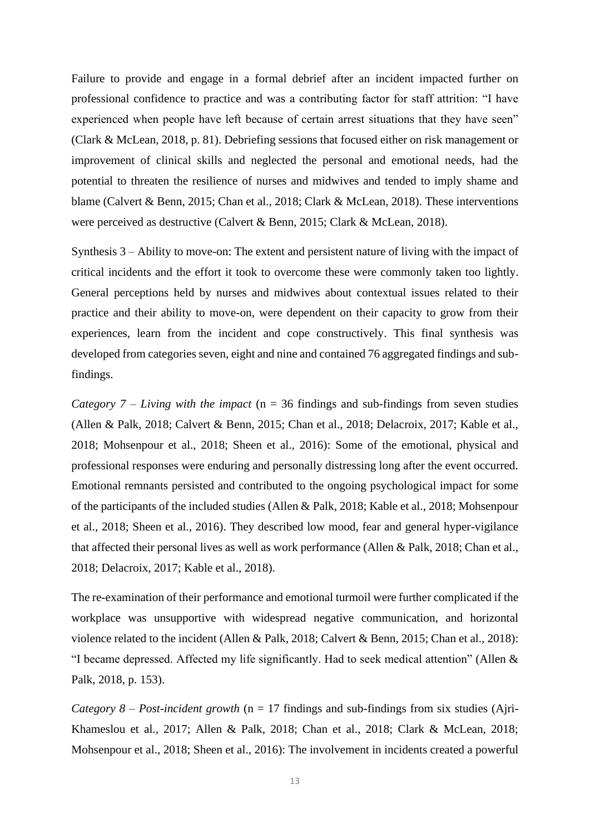Failure to provide and engage in a formal debrief after an incident impacted further on professional confidence to practice and was a contributing factor for staff attrition: "I have experienced when people have left because of certain arrest situations that they have seen" (Clark & McLean, 2018, p. 81). Debriefing sessions that focused either on risk management or improvement of clinical skills and neglected the personal and emotional needs, had the potential to threaten the resilience of nurses and midwives and tended to imply shame and blame (Calvert & Benn, 2015; Chan et al., 2018; Clark & McLean, 2018). These interventions were perceived as destructive (Calvert & Benn, 2015; Clark & McLean, 2018).

Synthesis 3 – Ability to move-on: The extent and persistent nature of living with the impact of critical incidents and the effort it took to overcome these were commonly taken too lightly. General perceptions held by nurses and midwives about contextual issues related to their practice and their ability to move-on, were dependent on their capacity to grow from their experiences, learn from the incident and cope constructively. This final synthesis was developed from categories seven, eight and nine and contained 76 aggregated findings and subfindings.

*Category 7 – Living with the impact* (n = 36 findings and sub-findings from seven studies (Allen & Palk, 2018; Calvert & Benn, 2015; Chan et al., 2018; Delacroix, 2017; Kable et al., 2018; Mohsenpour et al., 2018; Sheen et al., 2016): Some of the emotional, physical and professional responses were enduring and personally distressing long after the event occurred. Emotional remnants persisted and contributed to the ongoing psychological impact for some of the participants of the included studies (Allen & Palk, 2018; Kable et al., 2018; Mohsenpour et al., 2018; Sheen et al., 2016). They described low mood, fear and general hyper-vigilance that affected their personal lives as well as work performance (Allen & Palk, 2018; Chan et al., 2018; Delacroix, 2017; Kable et al., 2018).

The re-examination of their performance and emotional turmoil were further complicated if the workplace was unsupportive with widespread negative communication, and horizontal violence related to the incident (Allen & Palk, 2018; Calvert & Benn, 2015; Chan et al., 2018): "I became depressed. Affected my life significantly. Had to seek medical attention" (Allen & Palk, 2018, p. 153).

*Category 8 – Post-incident growth* (n = 17 findings and sub-findings from six studies (Ajri-Khameslou et al., 2017; Allen & Palk, 2018; Chan et al., 2018; Clark & McLean, 2018; Mohsenpour et al., 2018; Sheen et al., 2016): The involvement in incidents created a powerful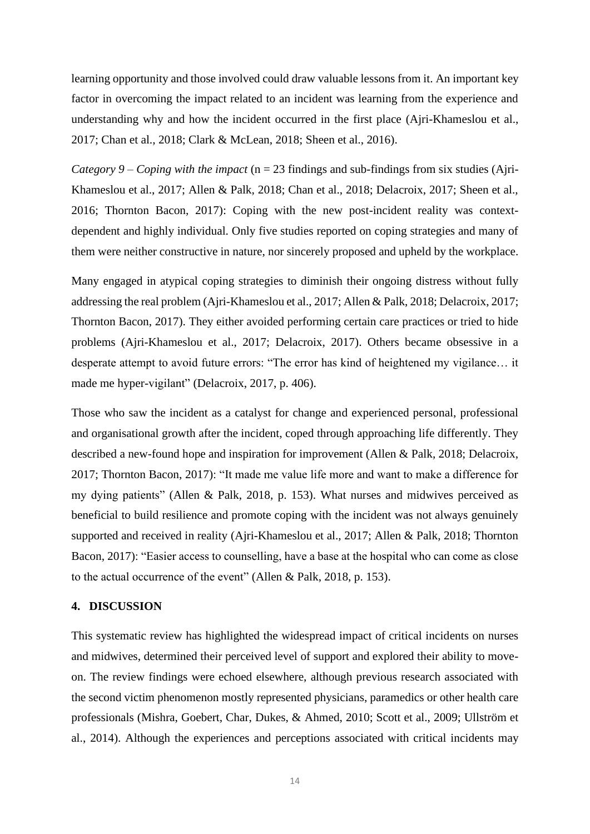learning opportunity and those involved could draw valuable lessons from it. An important key factor in overcoming the impact related to an incident was learning from the experience and understanding why and how the incident occurred in the first place (Ajri-Khameslou et al., 2017; Chan et al., 2018; Clark & McLean, 2018; Sheen et al., 2016).

*Category 9 – Coping with the impact* (n = 23 findings and sub-findings from six studies (Ajri-Khameslou et al., 2017; Allen & Palk, 2018; Chan et al., 2018; Delacroix, 2017; Sheen et al., 2016; Thornton Bacon, 2017): Coping with the new post-incident reality was contextdependent and highly individual. Only five studies reported on coping strategies and many of them were neither constructive in nature, nor sincerely proposed and upheld by the workplace.

Many engaged in atypical coping strategies to diminish their ongoing distress without fully addressing the real problem (Ajri-Khameslou et al., 2017; Allen & Palk, 2018; Delacroix, 2017; Thornton Bacon, 2017). They either avoided performing certain care practices or tried to hide problems (Ajri-Khameslou et al., 2017; Delacroix, 2017). Others became obsessive in a desperate attempt to avoid future errors: "The error has kind of heightened my vigilance… it made me hyper-vigilant" (Delacroix, 2017, p. 406).

Those who saw the incident as a catalyst for change and experienced personal, professional and organisational growth after the incident, coped through approaching life differently. They described a new-found hope and inspiration for improvement (Allen & Palk, 2018; Delacroix, 2017; Thornton Bacon, 2017): "It made me value life more and want to make a difference for my dying patients" (Allen & Palk, 2018, p. 153). What nurses and midwives perceived as beneficial to build resilience and promote coping with the incident was not always genuinely supported and received in reality (Ajri-Khameslou et al., 2017; Allen & Palk, 2018; Thornton Bacon, 2017): "Easier access to counselling, have a base at the hospital who can come as close to the actual occurrence of the event" (Allen & Palk, 2018, p. 153).

#### **4. DISCUSSION**

This systematic review has highlighted the widespread impact of critical incidents on nurses and midwives, determined their perceived level of support and explored their ability to moveon. The review findings were echoed elsewhere, although previous research associated with the second victim phenomenon mostly represented physicians, paramedics or other health care professionals (Mishra, Goebert, Char, Dukes, & Ahmed, 2010; Scott et al., 2009; Ullström et al., 2014). Although the experiences and perceptions associated with critical incidents may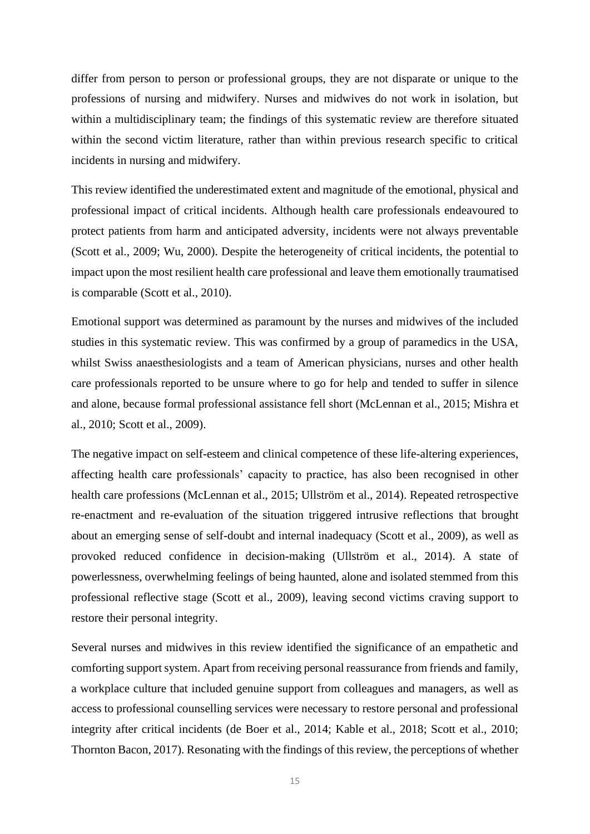differ from person to person or professional groups, they are not disparate or unique to the professions of nursing and midwifery. Nurses and midwives do not work in isolation, but within a multidisciplinary team; the findings of this systematic review are therefore situated within the second victim literature, rather than within previous research specific to critical incidents in nursing and midwifery.

This review identified the underestimated extent and magnitude of the emotional, physical and professional impact of critical incidents. Although health care professionals endeavoured to protect patients from harm and anticipated adversity, incidents were not always preventable (Scott et al., 2009; Wu, 2000). Despite the heterogeneity of critical incidents, the potential to impact upon the most resilient health care professional and leave them emotionally traumatised is comparable (Scott et al., 2010).

Emotional support was determined as paramount by the nurses and midwives of the included studies in this systematic review. This was confirmed by a group of paramedics in the USA, whilst Swiss anaesthesiologists and a team of American physicians, nurses and other health care professionals reported to be unsure where to go for help and tended to suffer in silence and alone, because formal professional assistance fell short (McLennan et al., 2015; Mishra et al., 2010; Scott et al., 2009).

The negative impact on self-esteem and clinical competence of these life-altering experiences, affecting health care professionals' capacity to practice, has also been recognised in other health care professions (McLennan et al., 2015; Ullström et al., 2014). Repeated retrospective re-enactment and re-evaluation of the situation triggered intrusive reflections that brought about an emerging sense of self-doubt and internal inadequacy (Scott et al., 2009), as well as provoked reduced confidence in decision-making (Ullström et al., 2014). A state of powerlessness, overwhelming feelings of being haunted, alone and isolated stemmed from this professional reflective stage (Scott et al., 2009), leaving second victims craving support to restore their personal integrity.

Several nurses and midwives in this review identified the significance of an empathetic and comforting support system. Apart from receiving personal reassurance from friends and family, a workplace culture that included genuine support from colleagues and managers, as well as access to professional counselling services were necessary to restore personal and professional integrity after critical incidents (de Boer et al., 2014; Kable et al., 2018; Scott et al., 2010; Thornton Bacon, 2017). Resonating with the findings of this review, the perceptions of whether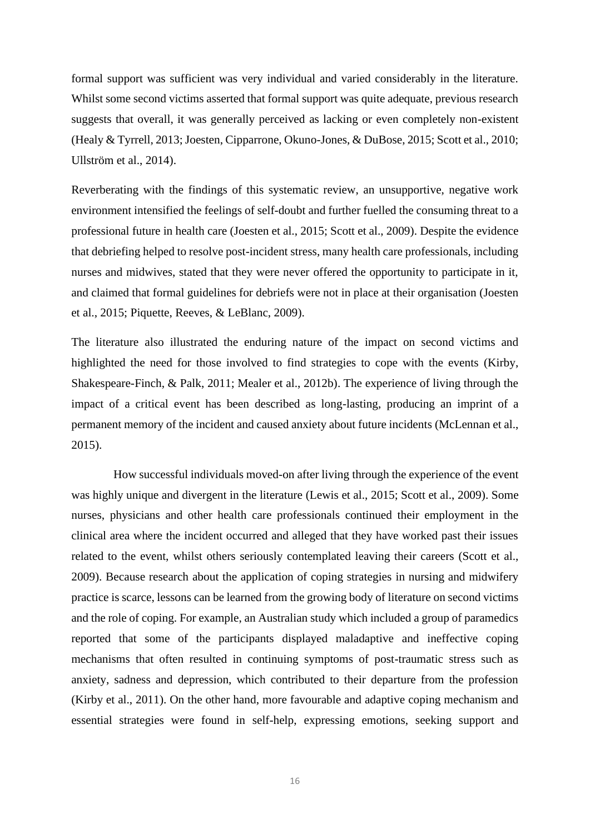formal support was sufficient was very individual and varied considerably in the literature. Whilst some second victims asserted that formal support was quite adequate, previous research suggests that overall, it was generally perceived as lacking or even completely non-existent (Healy & Tyrrell, 2013; Joesten, Cipparrone, Okuno-Jones, & DuBose, 2015; Scott et al., 2010; Ullström et al., 2014).

Reverberating with the findings of this systematic review, an unsupportive, negative work environment intensified the feelings of self-doubt and further fuelled the consuming threat to a professional future in health care (Joesten et al., 2015; Scott et al., 2009). Despite the evidence that debriefing helped to resolve post-incident stress, many health care professionals, including nurses and midwives, stated that they were never offered the opportunity to participate in it, and claimed that formal guidelines for debriefs were not in place at their organisation (Joesten et al., 2015; Piquette, Reeves, & LeBlanc, 2009).

The literature also illustrated the enduring nature of the impact on second victims and highlighted the need for those involved to find strategies to cope with the events (Kirby, Shakespeare-Finch, & Palk, 2011; Mealer et al., 2012b). The experience of living through the impact of a critical event has been described as long-lasting, producing an imprint of a permanent memory of the incident and caused anxiety about future incidents (McLennan et al., 2015).

How successful individuals moved-on after living through the experience of the event was highly unique and divergent in the literature (Lewis et al., 2015; Scott et al., 2009). Some nurses, physicians and other health care professionals continued their employment in the clinical area where the incident occurred and alleged that they have worked past their issues related to the event, whilst others seriously contemplated leaving their careers (Scott et al., 2009). Because research about the application of coping strategies in nursing and midwifery practice is scarce, lessons can be learned from the growing body of literature on second victims and the role of coping. For example, an Australian study which included a group of paramedics reported that some of the participants displayed maladaptive and ineffective coping mechanisms that often resulted in continuing symptoms of post-traumatic stress such as anxiety, sadness and depression, which contributed to their departure from the profession (Kirby et al., 2011). On the other hand, more favourable and adaptive coping mechanism and essential strategies were found in self-help, expressing emotions, seeking support and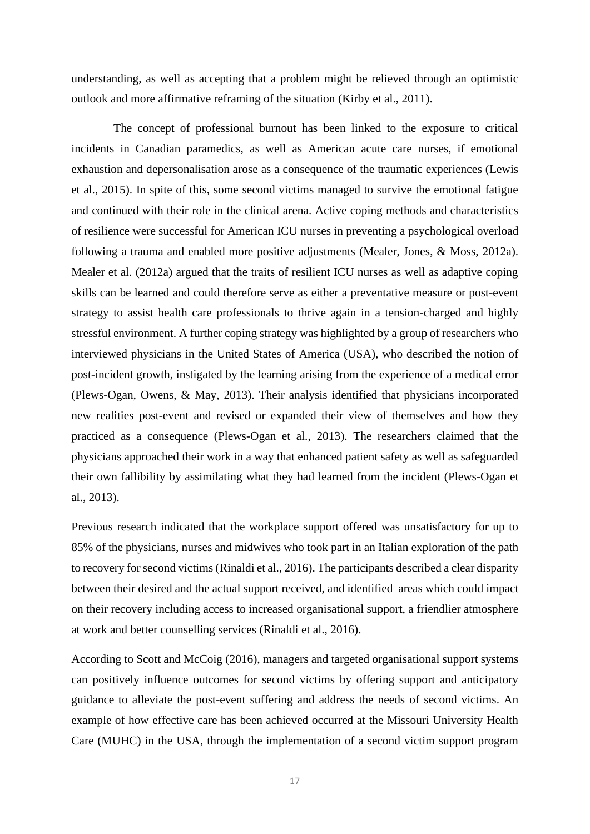understanding, as well as accepting that a problem might be relieved through an optimistic outlook and more affirmative reframing of the situation (Kirby et al., 2011).

The concept of professional burnout has been linked to the exposure to critical incidents in Canadian paramedics, as well as American acute care nurses, if emotional exhaustion and depersonalisation arose as a consequence of the traumatic experiences (Lewis et al., 2015). In spite of this, some second victims managed to survive the emotional fatigue and continued with their role in the clinical arena. Active coping methods and characteristics of resilience were successful for American ICU nurses in preventing a psychological overload following a trauma and enabled more positive adjustments (Mealer, Jones, & Moss, 2012a). Mealer et al. (2012a) argued that the traits of resilient ICU nurses as well as adaptive coping skills can be learned and could therefore serve as either a preventative measure or post-event strategy to assist health care professionals to thrive again in a tension-charged and highly stressful environment. A further coping strategy was highlighted by a group of researchers who interviewed physicians in the United States of America (USA), who described the notion of post-incident growth, instigated by the learning arising from the experience of a medical error (Plews-Ogan, Owens, & May, 2013). Their analysis identified that physicians incorporated new realities post-event and revised or expanded their view of themselves and how they practiced as a consequence (Plews-Ogan et al., 2013). The researchers claimed that the physicians approached their work in a way that enhanced patient safety as well as safeguarded their own fallibility by assimilating what they had learned from the incident (Plews-Ogan et al., 2013).

Previous research indicated that the workplace support offered was unsatisfactory for up to 85% of the physicians, nurses and midwives who took part in an Italian exploration of the path to recovery for second victims (Rinaldi et al., 2016). The participants described a clear disparity between their desired and the actual support received, and identified areas which could impact on their recovery including access to increased organisational support, a friendlier atmosphere at work and better counselling services (Rinaldi et al., 2016).

According to Scott and McCoig (2016), managers and targeted organisational support systems can positively influence outcomes for second victims by offering support and anticipatory guidance to alleviate the post-event suffering and address the needs of second victims. An example of how effective care has been achieved occurred at the Missouri University Health Care (MUHC) in the USA, through the implementation of a second victim support program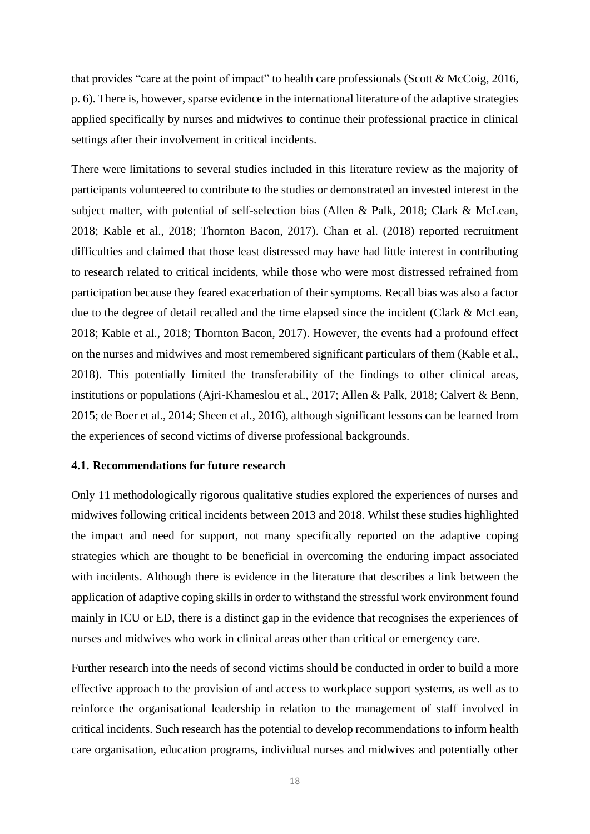that provides "care at the point of impact" to health care professionals (Scott & McCoig, 2016, p. 6). There is, however, sparse evidence in the international literature of the adaptive strategies applied specifically by nurses and midwives to continue their professional practice in clinical settings after their involvement in critical incidents.

There were limitations to several studies included in this literature review as the majority of participants volunteered to contribute to the studies or demonstrated an invested interest in the subject matter, with potential of self-selection bias (Allen & Palk, 2018; Clark & McLean, 2018; Kable et al., 2018; Thornton Bacon, 2017). Chan et al. (2018) reported recruitment difficulties and claimed that those least distressed may have had little interest in contributing to research related to critical incidents, while those who were most distressed refrained from participation because they feared exacerbation of their symptoms. Recall bias was also a factor due to the degree of detail recalled and the time elapsed since the incident (Clark & McLean, 2018; Kable et al., 2018; Thornton Bacon, 2017). However, the events had a profound effect on the nurses and midwives and most remembered significant particulars of them (Kable et al., 2018). This potentially limited the transferability of the findings to other clinical areas, institutions or populations (Ajri-Khameslou et al., 2017; Allen & Palk, 2018; Calvert & Benn, 2015; de Boer et al., 2014; Sheen et al., 2016), although significant lessons can be learned from the experiences of second victims of diverse professional backgrounds.

#### **4.1. Recommendations for future research**

Only 11 methodologically rigorous qualitative studies explored the experiences of nurses and midwives following critical incidents between 2013 and 2018. Whilst these studies highlighted the impact and need for support, not many specifically reported on the adaptive coping strategies which are thought to be beneficial in overcoming the enduring impact associated with incidents. Although there is evidence in the literature that describes a link between the application of adaptive coping skills in order to withstand the stressful work environment found mainly in ICU or ED, there is a distinct gap in the evidence that recognises the experiences of nurses and midwives who work in clinical areas other than critical or emergency care.

Further research into the needs of second victims should be conducted in order to build a more effective approach to the provision of and access to workplace support systems, as well as to reinforce the organisational leadership in relation to the management of staff involved in critical incidents. Such research has the potential to develop recommendations to inform health care organisation, education programs, individual nurses and midwives and potentially other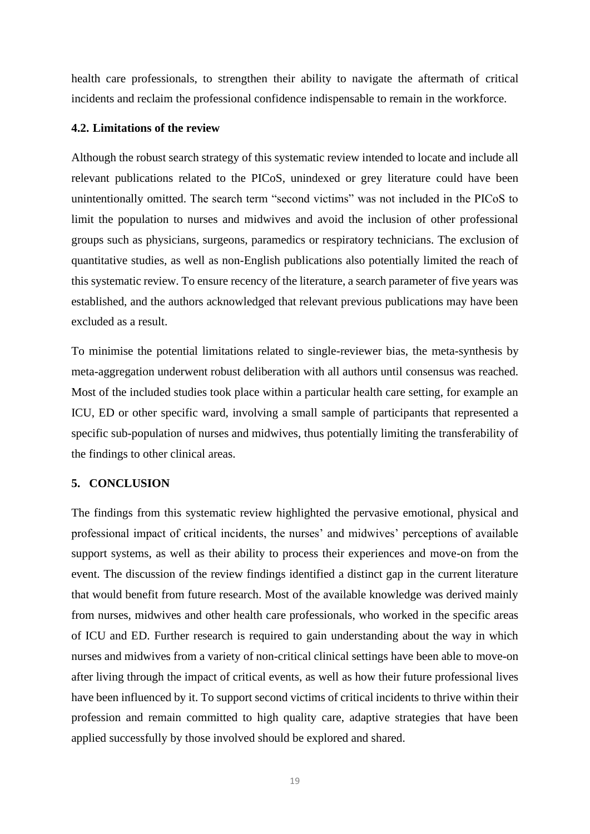health care professionals, to strengthen their ability to navigate the aftermath of critical incidents and reclaim the professional confidence indispensable to remain in the workforce.

#### **4.2. Limitations of the review**

Although the robust search strategy of this systematic review intended to locate and include all relevant publications related to the PICoS, unindexed or grey literature could have been unintentionally omitted. The search term "second victims" was not included in the PICoS to limit the population to nurses and midwives and avoid the inclusion of other professional groups such as physicians, surgeons, paramedics or respiratory technicians. The exclusion of quantitative studies, as well as non-English publications also potentially limited the reach of this systematic review. To ensure recency of the literature, a search parameter of five years was established, and the authors acknowledged that relevant previous publications may have been excluded as a result.

To minimise the potential limitations related to single-reviewer bias, the meta-synthesis by meta-aggregation underwent robust deliberation with all authors until consensus was reached. Most of the included studies took place within a particular health care setting, for example an ICU, ED or other specific ward, involving a small sample of participants that represented a specific sub-population of nurses and midwives, thus potentially limiting the transferability of the findings to other clinical areas.

## **5. CONCLUSION**

The findings from this systematic review highlighted the pervasive emotional, physical and professional impact of critical incidents, the nurses' and midwives' perceptions of available support systems, as well as their ability to process their experiences and move-on from the event. The discussion of the review findings identified a distinct gap in the current literature that would benefit from future research. Most of the available knowledge was derived mainly from nurses, midwives and other health care professionals, who worked in the specific areas of ICU and ED. Further research is required to gain understanding about the way in which nurses and midwives from a variety of non-critical clinical settings have been able to move-on after living through the impact of critical events, as well as how their future professional lives have been influenced by it. To support second victims of critical incidents to thrive within their profession and remain committed to high quality care, adaptive strategies that have been applied successfully by those involved should be explored and shared.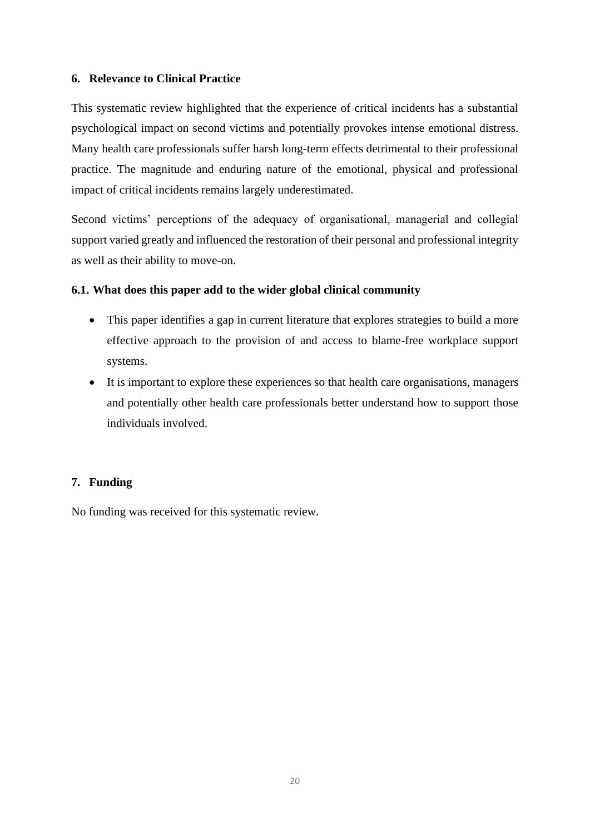## **6. Relevance to Clinical Practice**

This systematic review highlighted that the experience of critical incidents has a substantial psychological impact on second victims and potentially provokes intense emotional distress. Many health care professionals suffer harsh long-term effects detrimental to their professional practice. The magnitude and enduring nature of the emotional, physical and professional impact of critical incidents remains largely underestimated.

Second victims' perceptions of the adequacy of organisational, managerial and collegial support varied greatly and influenced the restoration of their personal and professional integrity as well as their ability to move-on.

# **6.1. What does this paper add to the wider global clinical community**

- This paper identifies a gap in current literature that explores strategies to build a more effective approach to the provision of and access to blame-free workplace support systems.
- It is important to explore these experiences so that health care organisations, managers and potentially other health care professionals better understand how to support those individuals involved.

## **7. Funding**

No funding was received for this systematic review.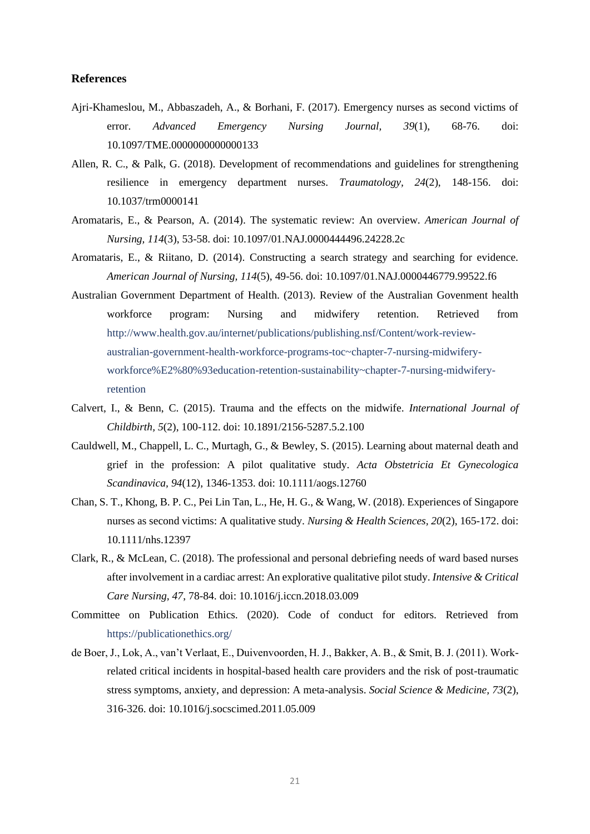#### **References**

- Ajri-Khameslou, M., Abbaszadeh, A., & Borhani, F. (2017). Emergency nurses as second victims of error. *Advanced Emergency Nursing Journal, 39*(1), 68-76. doi: 10.1097/TME.0000000000000133
- Allen, R. C., & Palk, G. (2018). Development of recommendations and guidelines for strengthening resilience in emergency department nurses. *Traumatology, 24*(2), 148-156. doi: 10.1037/trm0000141
- Aromataris, E., & Pearson, A. (2014). The systematic review: An overview. *American Journal of Nursing, 114*(3), 53-58. doi: 10.1097/01.NAJ.0000444496.24228.2c
- Aromataris, E., & Riitano, D. (2014). Constructing a search strategy and searching for evidence. *American Journal of Nursing, 114*(5), 49-56. doi: 10.1097/01.NAJ.0000446779.99522.f6
- Australian Government Department of Health. (2013). Review of the Australian Govenment health workforce program: Nursing and midwifery retention. Retrieved from [http://www.health.gov.au/internet/publications/publishing.nsf/Content/work-review](http://www.health.gov.au/internet/publications/publishing.nsf/Content/work-review-australian-government-health-workforce-programs-toc~chapter-7-nursing-midwifery-workforce%E2%80%93education-retention-sustainability~chapter-7-nursing-midwifery-retention)[australian-government-health-workforce-programs-toc~chapter-7-nursing-midwifery](http://www.health.gov.au/internet/publications/publishing.nsf/Content/work-review-australian-government-health-workforce-programs-toc~chapter-7-nursing-midwifery-workforce%E2%80%93education-retention-sustainability~chapter-7-nursing-midwifery-retention)[workforce%E2%80%93education-retention-sustainability~chapter-7-nursing-midwifery](http://www.health.gov.au/internet/publications/publishing.nsf/Content/work-review-australian-government-health-workforce-programs-toc~chapter-7-nursing-midwifery-workforce%E2%80%93education-retention-sustainability~chapter-7-nursing-midwifery-retention)[retention](http://www.health.gov.au/internet/publications/publishing.nsf/Content/work-review-australian-government-health-workforce-programs-toc~chapter-7-nursing-midwifery-workforce%E2%80%93education-retention-sustainability~chapter-7-nursing-midwifery-retention)
- Calvert, I., & Benn, C. (2015). Trauma and the effects on the midwife. *International Journal of Childbirth, 5*(2), 100-112. doi: 10.1891/2156-5287.5.2.100
- Cauldwell, M., Chappell, L. C., Murtagh, G., & Bewley, S. (2015). Learning about maternal death and grief in the profession: A pilot qualitative study. *Acta Obstetricia Et Gynecologica Scandinavica, 94*(12), 1346-1353. doi: 10.1111/aogs.12760
- Chan, S. T., Khong, B. P. C., Pei Lin Tan, L., He, H. G., & Wang, W. (2018). Experiences of Singapore nurses as second victims: A qualitative study. *Nursing & Health Sciences, 20*(2), 165-172. doi: 10.1111/nhs.12397
- Clark, R., & McLean, C. (2018). The professional and personal debriefing needs of ward based nurses after involvement in a cardiac arrest: An explorative qualitative pilot study. *Intensive & Critical Care Nursing, 47*, 78-84. doi: 10.1016/j.iccn.2018.03.009
- Committee on Publication Ethics. (2020). Code of conduct for editors. Retrieved from <https://publicationethics.org/>
- de Boer, J., Lok, A., van't Verlaat, E., Duivenvoorden, H. J., Bakker, A. B., & Smit, B. J. (2011). Workrelated critical incidents in hospital-based health care providers and the risk of post-traumatic stress symptoms, anxiety, and depression: A meta-analysis. *Social Science & Medicine, 73*(2), 316-326. doi: 10.1016/j.socscimed.2011.05.009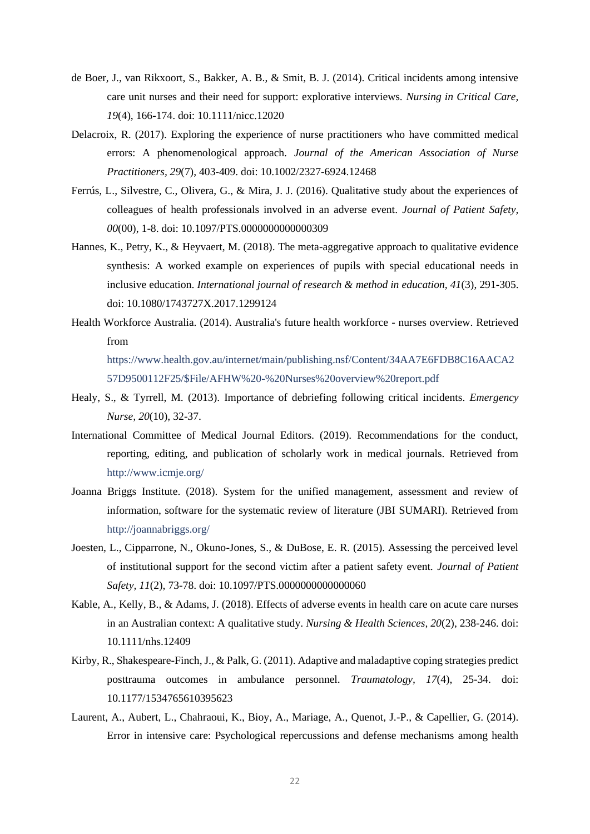- de Boer, J., van Rikxoort, S., Bakker, A. B., & Smit, B. J. (2014). Critical incidents among intensive care unit nurses and their need for support: explorative interviews. *Nursing in Critical Care, 19*(4), 166-174. doi: 10.1111/nicc.12020
- Delacroix, R. (2017). Exploring the experience of nurse practitioners who have committed medical errors: A phenomenological approach. *Journal of the American Association of Nurse Practitioners, 29*(7), 403-409. doi: 10.1002/2327-6924.12468
- Ferrús, L., Silvestre, C., Olivera, G., & Mira, J. J. (2016). Qualitative study about the experiences of colleagues of health professionals involved in an adverse event. *Journal of Patient Safety, 00*(00), 1-8. doi: 10.1097/PTS.0000000000000309
- Hannes, K., Petry, K., & Heyvaert, M. (2018). The meta-aggregative approach to qualitative evidence synthesis: A worked example on experiences of pupils with special educational needs in inclusive education. *International journal of research & method in education, 41*(3), 291-305. doi: 10.1080/1743727X.2017.1299124
- Health Workforce Australia. (2014). Australia's future health workforce nurses overview. Retrieved from

[https://www.health.gov.au/internet/main/publishing.nsf/Content/34AA7E6FDB8C16AACA2](https://www.health.gov.au/internet/main/publishing.nsf/Content/34AA7E6FDB8C16AACA257D9500112F25/$File/AFHW%20-%20Nurses%20overview%20report.pdf) [57D9500112F25/\\$File/AFHW%20-%20Nurses%20overview%20report.pdf](https://www.health.gov.au/internet/main/publishing.nsf/Content/34AA7E6FDB8C16AACA257D9500112F25/$File/AFHW%20-%20Nurses%20overview%20report.pdf)

- Healy, S., & Tyrrell, M. (2013). Importance of debriefing following critical incidents. *Emergency Nurse, 20*(10), 32-37.
- International Committee of Medical Journal Editors. (2019). Recommendations for the conduct, reporting, editing, and publication of scholarly work in medical journals. Retrieved from <http://www.icmje.org/>
- Joanna Briggs Institute. (2018). System for the unified management, assessment and review of information, software for the systematic review of literature (JBI SUMARI). Retrieved from <http://joannabriggs.org/>
- Joesten, L., Cipparrone, N., Okuno-Jones, S., & DuBose, E. R. (2015). Assessing the perceived level of institutional support for the second victim after a patient safety event. *Journal of Patient Safety, 11*(2), 73-78. doi: 10.1097/PTS.0000000000000060
- Kable, A., Kelly, B., & Adams, J. (2018). Effects of adverse events in health care on acute care nurses in an Australian context: A qualitative study. *Nursing & Health Sciences, 20*(2), 238-246. doi: 10.1111/nhs.12409
- Kirby, R., Shakespeare-Finch, J., & Palk, G. (2011). Adaptive and maladaptive coping strategies predict posttrauma outcomes in ambulance personnel. *Traumatology, 17*(4), 25-34. doi: 10.1177/1534765610395623
- Laurent, A., Aubert, L., Chahraoui, K., Bioy, A., Mariage, A., Quenot, J.-P., & Capellier, G. (2014). Error in intensive care: Psychological repercussions and defense mechanisms among health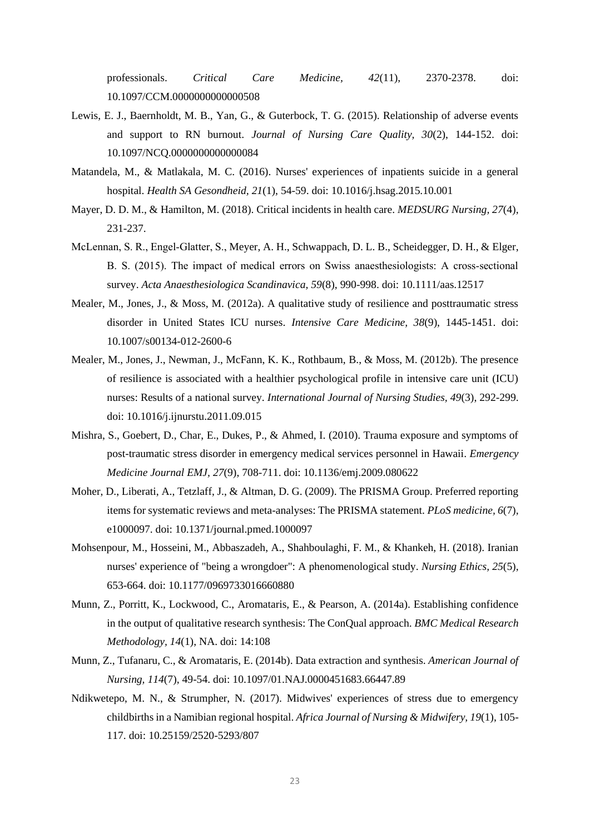professionals. *Critical Care Medicine, 42*(11), 2370-2378. doi: 10.1097/CCM.0000000000000508

- Lewis, E. J., Baernholdt, M. B., Yan, G., & Guterbock, T. G. (2015). Relationship of adverse events and support to RN burnout. *Journal of Nursing Care Quality, 30*(2), 144-152. doi: 10.1097/NCQ.0000000000000084
- Matandela, M., & Matlakala, M. C. (2016). Nurses' experiences of inpatients suicide in a general hospital. *Health SA Gesondheid, 21*(1), 54-59. doi: 10.1016/j.hsag.2015.10.001
- Mayer, D. D. M., & Hamilton, M. (2018). Critical incidents in health care. *MEDSURG Nursing, 27*(4), 231-237.
- McLennan, S. R., Engel‐Glatter, S., Meyer, A. H., Schwappach, D. L. B., Scheidegger, D. H., & Elger, B. S. (2015). The impact of medical errors on Swiss anaesthesiologists: A cross‐sectional survey. *Acta Anaesthesiologica Scandinavica, 59*(8), 990-998. doi: 10.1111/aas.12517
- Mealer, M., Jones, J., & Moss, M. (2012a). A qualitative study of resilience and posttraumatic stress disorder in United States ICU nurses. *Intensive Care Medicine, 38*(9), 1445-1451. doi: 10.1007/s00134-012-2600-6
- Mealer, M., Jones, J., Newman, J., McFann, K. K., Rothbaum, B., & Moss, M. (2012b). The presence of resilience is associated with a healthier psychological profile in intensive care unit (ICU) nurses: Results of a national survey. *International Journal of Nursing Studies, 49*(3), 292-299. doi: 10.1016/j.ijnurstu.2011.09.015
- Mishra, S., Goebert, D., Char, E., Dukes, P., & Ahmed, I. (2010). Trauma exposure and symptoms of post-traumatic stress disorder in emergency medical services personnel in Hawaii. *Emergency Medicine Journal EMJ, 27*(9), 708-711. doi: 10.1136/emj.2009.080622
- Moher, D., Liberati, A., Tetzlaff, J., & Altman, D. G. (2009). The PRISMA Group. Preferred reporting items for systematic reviews and meta-analyses: The PRISMA statement. *PLoS medicine, 6*(7), e1000097. doi: 10.1371/journal.pmed.1000097
- Mohsenpour, M., Hosseini, M., Abbaszadeh, A., Shahboulaghi, F. M., & Khankeh, H. (2018). Iranian nurses' experience of "being a wrongdoer": A phenomenological study. *Nursing Ethics, 25*(5), 653-664. doi: 10.1177/0969733016660880
- Munn, Z., Porritt, K., Lockwood, C., Aromataris, E., & Pearson, A. (2014a). Establishing confidence in the output of qualitative research synthesis: The ConQual approach. *BMC Medical Research Methodology, 14*(1), NA. doi: 14:108
- Munn, Z., Tufanaru, C., & Aromataris, E. (2014b). Data extraction and synthesis. *American Journal of Nursing, 114*(7), 49-54. doi: 10.1097/01.NAJ.0000451683.66447.89
- Ndikwetepo, M. N., & Strumpher, N. (2017). Midwives' experiences of stress due to emergency childbirths in a Namibian regional hospital. *Africa Journal of Nursing & Midwifery, 19*(1), 105- 117. doi: 10.25159/2520-5293/807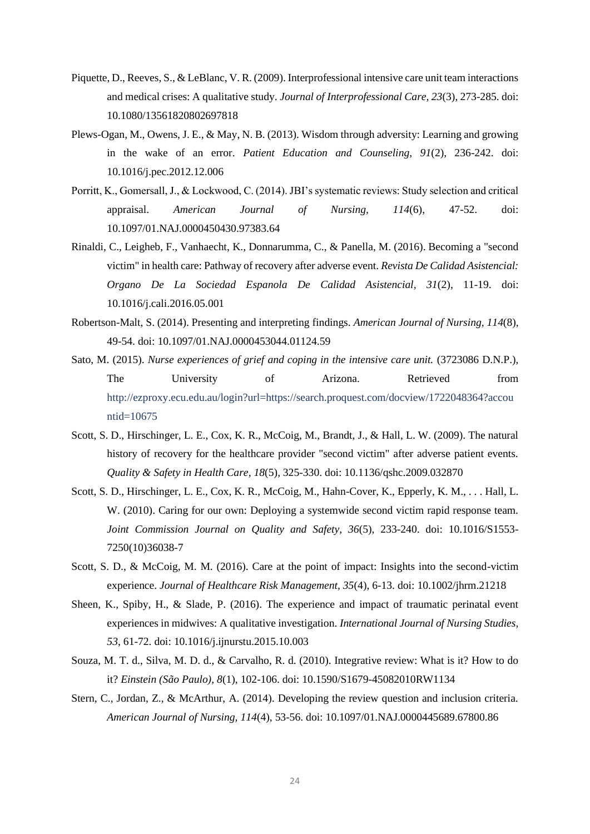- Piquette, D., Reeves, S., & LeBlanc, V. R. (2009). Interprofessional intensive care unit team interactions and medical crises: A qualitative study. *Journal of Interprofessional Care, 23*(3), 273-285. doi: 10.1080/13561820802697818
- Plews-Ogan, M., Owens, J. E., & May, N. B. (2013). Wisdom through adversity: Learning and growing in the wake of an error. *Patient Education and Counseling, 91*(2), 236-242. doi: 10.1016/j.pec.2012.12.006
- Porritt, K., Gomersall, J., & Lockwood, C. (2014). JBI's systematic reviews: Study selection and critical appraisal. *American Journal of Nursing, 114*(6), 47-52. doi: 10.1097/01.NAJ.0000450430.97383.64
- Rinaldi, C., Leigheb, F., Vanhaecht, K., Donnarumma, C., & Panella, M. (2016). Becoming a "second victim" in health care: Pathway of recovery after adverse event. *Revista De Calidad Asistencial: Organo De La Sociedad Espanola De Calidad Asistencial, 31*(2), 11-19. doi: 10.1016/j.cali.2016.05.001
- Robertson-Malt, S. (2014). Presenting and interpreting findings. *American Journal of Nursing, 114*(8), 49-54. doi: 10.1097/01.NAJ.0000453044.01124.59
- Sato, M. (2015). *Nurse experiences of grief and coping in the intensive care unit.* (3723086 D.N.P.), The University of Arizona. Retrieved from [http://ezproxy.ecu.edu.au/login?url=https://search.proquest.com/docview/1722048364?accou](http://ezproxy.ecu.edu.au/login?url=https://search.proquest.com/docview/1722048364?accountid=10675) [ntid=10675](http://ezproxy.ecu.edu.au/login?url=https://search.proquest.com/docview/1722048364?accountid=10675)
- Scott, S. D., Hirschinger, L. E., Cox, K. R., McCoig, M., Brandt, J., & Hall, L. W. (2009). The natural history of recovery for the healthcare provider "second victim" after adverse patient events. *Quality & Safety in Health Care, 18*(5), 325-330. doi: 10.1136/qshc.2009.032870
- Scott, S. D., Hirschinger, L. E., Cox, K. R., McCoig, M., Hahn-Cover, K., Epperly, K. M., . . . Hall, L. W. (2010). Caring for our own: Deploying a systemwide second victim rapid response team. *Joint Commission Journal on Quality and Safety, 36*(5), 233-240. doi: 10.1016/S1553- 7250(10)36038-7
- Scott, S. D., & McCoig, M. M. (2016). Care at the point of impact: Insights into the second-victim experience. *Journal of Healthcare Risk Management, 35*(4), 6-13. doi: 10.1002/jhrm.21218
- Sheen, K., Spiby, H., & Slade, P. (2016). The experience and impact of traumatic perinatal event experiences in midwives: A qualitative investigation. *International Journal of Nursing Studies, 53*, 61-72. doi: 10.1016/j.ijnurstu.2015.10.003
- Souza, M. T. d., Silva, M. D. d., & Carvalho, R. d. (2010). Integrative review: What is it? How to do it? *Einstein (São Paulo), 8*(1), 102-106. doi: 10.1590/S1679-45082010RW1134
- Stern, C., Jordan, Z., & McArthur, A. (2014). Developing the review question and inclusion criteria. *American Journal of Nursing, 114*(4), 53-56. doi: 10.1097/01.NAJ.0000445689.67800.86